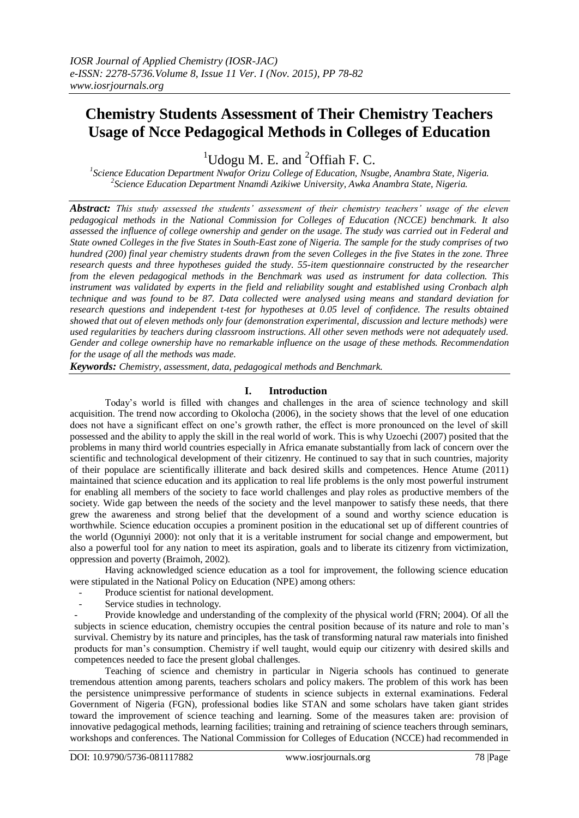# **Chemistry Students Assessment of Their Chemistry Teachers Usage of Ncce Pedagogical Methods in Colleges of Education**

<sup>1</sup>Udogu M. E. and <sup>2</sup>Offiah F. C.

*1 Science Education Department Nwafor Orizu College of Education, Nsugbe, Anambra State, Nigeria. 2 Science Education Department Nnamdi Azikiwe University, Awka Anambra State, Nigeria.*

*Abstract: This study assessed the students' assessment of their chemistry teachers' usage of the eleven pedagogical methods in the National Commission for Colleges of Education (NCCE) benchmark. It also assessed the influence of college ownership and gender on the usage. The study was carried out in Federal and State owned Colleges in the five States in South-East zone of Nigeria. The sample for the study comprises of two hundred (200) final year chemistry students drawn from the seven Colleges in the five States in the zone. Three research quests and three hypotheses guided the study. 55-item questionnaire constructed by the researcher from the eleven pedagogical methods in the Benchmark was used as instrument for data collection. This instrument was validated by experts in the field and reliability sought and established using Cronbach alph technique and was found to be 87. Data collected were analysed using means and standard deviation for research questions and independent t-test for hypotheses at 0.05 level of confidence. The results obtained showed that out of eleven methods only four (demonstration experimental, discussion and lecture methods) were used regularities by teachers during classroom instructions. All other seven methods were not adequately used. Gender and college ownership have no remarkable influence on the usage of these methods. Recommendation for the usage of all the methods was made.*

*Keywords: Chemistry, assessment, data, pedagogical methods and Benchmark.*

## **I. Introduction**

Today's world is filled with changes and challenges in the area of science technology and skill acquisition. The trend now according to Okolocha (2006), in the society shows that the level of one education does not have a significant effect on one's growth rather, the effect is more pronounced on the level of skill possessed and the ability to apply the skill in the real world of work. This is why Uzoechi (2007) posited that the problems in many third world countries especially in Africa emanate substantially from lack of concern over the scientific and technological development of their citizenry. He continued to say that in such countries, majority of their populace are scientifically illiterate and back desired skills and competences. Hence Atume (2011) maintained that science education and its application to real life problems is the only most powerful instrument for enabling all members of the society to face world challenges and play roles as productive members of the society. Wide gap between the needs of the society and the level manpower to satisfy these needs, that there grew the awareness and strong belief that the development of a sound and worthy science education is worthwhile. Science education occupies a prominent position in the educational set up of different countries of the world (Ogunniyi 2000): not only that it is a veritable instrument for social change and empowerment, but also a powerful tool for any nation to meet its aspiration, goals and to liberate its citizenry from victimization, oppression and poverty (Braimoh, 2002).

Having acknowledged science education as a tool for improvement, the following science education were stipulated in the National Policy on Education (NPE) among others:

- Produce scientist for national development.
- Service studies in technology.

- Provide knowledge and understanding of the complexity of the physical world (FRN; 2004). Of all the subjects in science education, chemistry occupies the central position because of its nature and role to man's survival. Chemistry by its nature and principles, has the task of transforming natural raw materials into finished products for man's consumption. Chemistry if well taught, would equip our citizenry with desired skills and competences needed to face the present global challenges.

Teaching of science and chemistry in particular in Nigeria schools has continued to generate tremendous attention among parents, teachers scholars and policy makers. The problem of this work has been the persistence unimpressive performance of students in science subjects in external examinations. Federal Government of Nigeria (FGN), professional bodies like STAN and some scholars have taken giant strides toward the improvement of science teaching and learning. Some of the measures taken are: provision of innovative pedagogical methods, learning facilities; training and retraining of science teachers through seminars, workshops and conferences. The National Commission for Colleges of Education (NCCE) had recommended in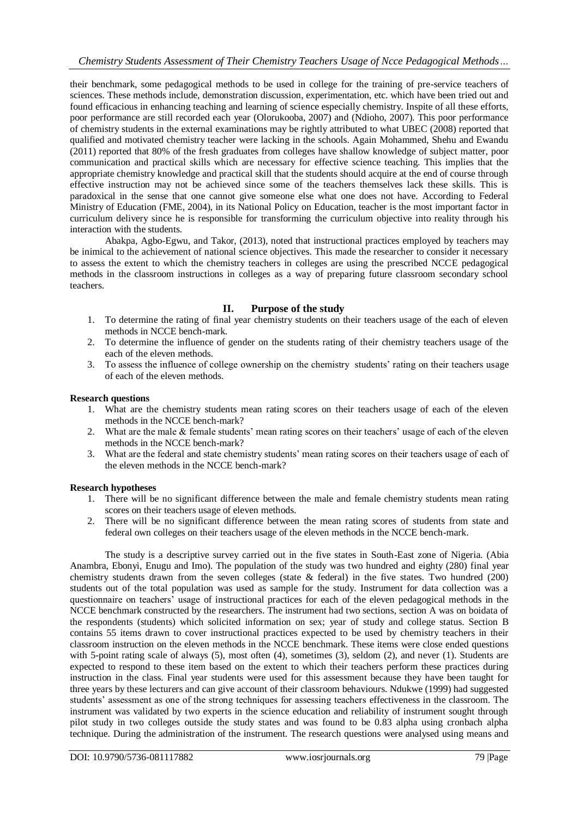their benchmark, some pedagogical methods to be used in college for the training of pre-service teachers of sciences. These methods include, demonstration discussion, experimentation, etc. which have been tried out and found efficacious in enhancing teaching and learning of science especially chemistry. Inspite of all these efforts, poor performance are still recorded each year (Olorukooba, 2007) and (Ndioho, 2007). This poor performance of chemistry students in the external examinations may be rightly attributed to what UBEC (2008) reported that qualified and motivated chemistry teacher were lacking in the schools. Again Mohammed, Shehu and Ewandu (2011) reported that 80% of the fresh graduates from colleges have shallow knowledge of subject matter, poor communication and practical skills which are necessary for effective science teaching. This implies that the appropriate chemistry knowledge and practical skill that the students should acquire at the end of course through effective instruction may not be achieved since some of the teachers themselves lack these skills. This is paradoxical in the sense that one cannot give someone else what one does not have. According to Federal Ministry of Education (FME, 2004), in its National Policy on Education, teacher is the most important factor in curriculum delivery since he is responsible for transforming the curriculum objective into reality through his interaction with the students.

Abakpa, Agbo-Egwu, and Takor, (2013), noted that instructional practices employed by teachers may be inimical to the achievement of national science objectives. This made the researcher to consider it necessary to assess the extent to which the chemistry teachers in colleges are using the prescribed NCCE pedagogical methods in the classroom instructions in colleges as a way of preparing future classroom secondary school teachers.

## **II. Purpose of the study**

- 1. To determine the rating of final year chemistry students on their teachers usage of the each of eleven methods in NCCE bench-mark.
- 2. To determine the influence of gender on the students rating of their chemistry teachers usage of the each of the eleven methods.
- 3. To assess the influence of college ownership on the chemistry students' rating on their teachers usage of each of the eleven methods.

## **Research questions**

- 1. What are the chemistry students mean rating scores on their teachers usage of each of the eleven methods in the NCCE bench-mark?
- 2. What are the male & female students' mean rating scores on their teachers' usage of each of the eleven methods in the NCCE bench-mark?
- 3. What are the federal and state chemistry students' mean rating scores on their teachers usage of each of the eleven methods in the NCCE bench-mark?

## **Research hypotheses**

- 1. There will be no significant difference between the male and female chemistry students mean rating scores on their teachers usage of eleven methods.
- 2. There will be no significant difference between the mean rating scores of students from state and federal own colleges on their teachers usage of the eleven methods in the NCCE bench-mark.

The study is a descriptive survey carried out in the five states in South-East zone of Nigeria. (Abia Anambra, Ebonyi, Enugu and Imo). The population of the study was two hundred and eighty (280) final year chemistry students drawn from the seven colleges (state & federal) in the five states. Two hundred (200) students out of the total population was used as sample for the study. Instrument for data collection was a questionnaire on teachers' usage of instructional practices for each of the eleven pedagogical methods in the NCCE benchmark constructed by the researchers. The instrument had two sections, section A was on boidata of the respondents (students) which solicited information on sex; year of study and college status. Section B contains 55 items drawn to cover instructional practices expected to be used by chemistry teachers in their classroom instruction on the eleven methods in the NCCE benchmark. These items were close ended questions with 5-point rating scale of always (5), most often (4), sometimes (3), seldom (2), and never (1). Students are expected to respond to these item based on the extent to which their teachers perform these practices during instruction in the class. Final year students were used for this assessment because they have been taught for three years by these lecturers and can give account of their classroom behaviours. Ndukwe (1999) had suggested students' assessment as one of the strong techniques for assessing teachers effectiveness in the classroom. The instrument was validated by two experts in the science education and reliability of instrument sought through pilot study in two colleges outside the study states and was found to be 0.83 alpha using cronbach alpha technique. During the administration of the instrument. The research questions were analysed using means and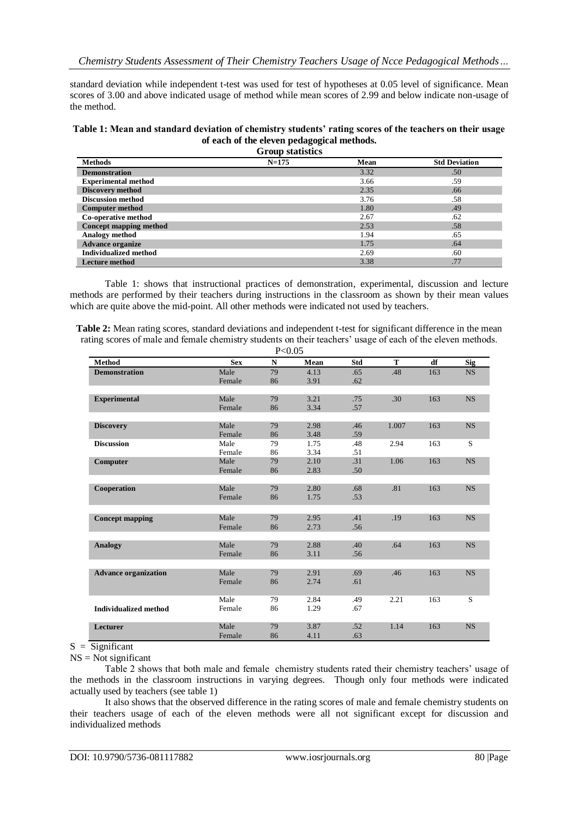standard deviation while independent t-test was used for test of hypotheses at 0.05 level of significance. Mean scores of 3.00 and above indicated usage of method while mean scores of 2.99 and below indicate non-usage of the method.

#### **Table 1: Mean and standard deviation of chemistry students' rating scores of the teachers on their usage of each of the eleven pedagogical methods.**

| <b>Methods</b>               | $N = 175$ | Mean | <b>Std Deviation</b> |
|------------------------------|-----------|------|----------------------|
| <b>Demonstration</b>         |           | 3.32 | .50                  |
| <b>Experimental method</b>   |           | 3.66 | .59                  |
| <b>Discovery method</b>      |           | 2.35 | .66                  |
| <b>Discussion method</b>     |           | 3.76 | .58                  |
| <b>Computer method</b>       |           | 1.80 | .49                  |
| Co-operative method          |           | 2.67 | .62                  |
| Concept mapping method       |           | 2.53 | .58                  |
| Analogy method               |           | 1.94 | .65                  |
| <b>Advance organize</b>      |           | 1.75 | .64                  |
| <b>Individualized method</b> |           | 2.69 | .60                  |
| <b>Lecture method</b>        |           | 3.38 | .77                  |

Table 1: shows that instructional practices of demonstration, experimental, discussion and lecture methods are performed by their teachers during instructions in the classroom as shown by their mean values which are quite above the mid-point. All other methods were indicated not used by teachers.

| Table 2: Mean rating scores, standard deviations and independent t-test for significant difference in the mean |
|----------------------------------------------------------------------------------------------------------------|
| rating scores of male and female chemistry students on their teachers' usage of each of the eleven methods.    |
|                                                                                                                |

|                              |            | P< 0.05     |      |     |       |     |            |
|------------------------------|------------|-------------|------|-----|-------|-----|------------|
| <b>Method</b>                | <b>Sex</b> | $\mathbf N$ | Mean | Std | T     | df  | <b>Sig</b> |
| <b>Demonstration</b>         | Male       | 79          | 4.13 | .65 | .48   | 163 | <b>NS</b>  |
|                              | Female     | 86          | 3.91 | .62 |       |     |            |
|                              |            |             |      |     |       |     |            |
| <b>Experimental</b>          | Male       | 79          | 3.21 | .75 | .30   | 163 | <b>NS</b>  |
|                              | Female     | 86          | 3.34 | .57 |       |     |            |
|                              |            |             |      |     |       |     |            |
| <b>Discovery</b>             | Male       | 79          | 2.98 | .46 | 1.007 | 163 | <b>NS</b>  |
|                              | Female     | 86          | 3.48 | .59 |       |     |            |
| <b>Discussion</b>            | Male       | 79          | 1.75 | .48 | 2.94  | 163 | S          |
|                              | Female     | 86          | 3.34 | .51 |       |     |            |
| Computer                     | Male       | 79          | 2.10 | .31 | 1.06  | 163 | <b>NS</b>  |
|                              | Female     | 86          | 2.83 | .50 |       |     |            |
|                              |            |             |      |     |       |     |            |
| Cooperation                  | Male       | 79          | 2.80 | .68 | .81   | 163 | <b>NS</b>  |
|                              | Female     | 86          | 1.75 | .53 |       |     |            |
|                              |            |             |      |     |       |     |            |
| <b>Concept mapping</b>       | Male       | 79          | 2.95 | .41 | .19   | 163 | <b>NS</b>  |
|                              | Female     | 86          | 2.73 | .56 |       |     |            |
|                              |            |             |      |     |       |     |            |
| <b>Analogy</b>               | Male       | 79          | 2.88 | .40 | .64   | 163 | <b>NS</b>  |
|                              | Female     | 86          | 3.11 | .56 |       |     |            |
|                              |            |             |      |     |       |     |            |
| <b>Advance organization</b>  | Male       | 79          | 2.91 | .69 | .46   | 163 | <b>NS</b>  |
|                              | Female     | 86          | 2.74 | .61 |       |     |            |
|                              |            |             |      |     |       |     |            |
|                              | Male       | 79          | 2.84 | .49 | 2.21  | 163 | S          |
| <b>Individualized method</b> | Female     | 86          | 1.29 | .67 |       |     |            |
|                              |            |             |      |     |       |     |            |
| Lecturer                     | Male       | 79          | 3.87 | .52 | 1.14  | 163 | <b>NS</b>  |
|                              | Female     | 86          | 4.11 | .63 |       |     |            |

#### $S = \overline{\text{Significant}}$

 $NS = Not$  significant

Table 2 shows that both male and female chemistry students rated their chemistry teachers' usage of the methods in the classroom instructions in varying degrees. Though only four methods were indicated actually used by teachers (see table 1)

It also shows that the observed difference in the rating scores of male and female chemistry students on their teachers usage of each of the eleven methods were all not significant except for discussion and individualized methods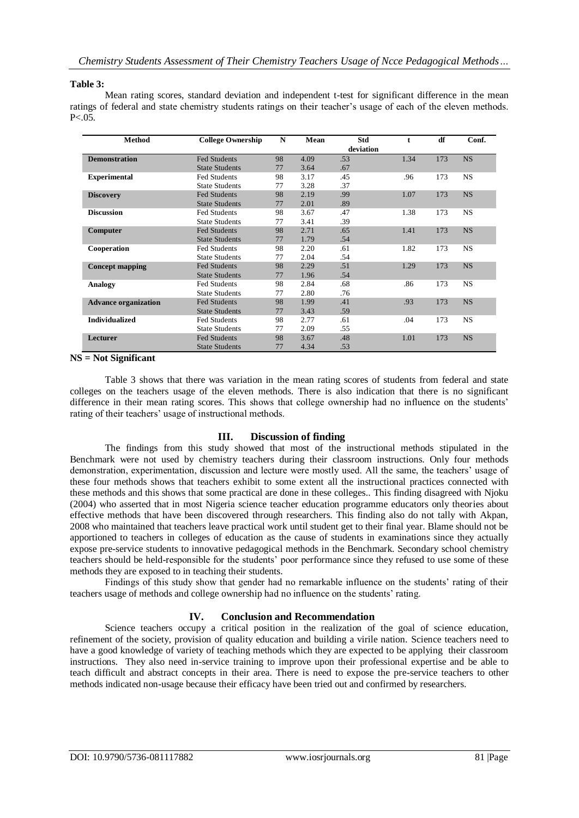### **Table 3:**

Mean rating scores, standard deviation and independent t-test for significant difference in the mean ratings of federal and state chemistry students ratings on their teacher's usage of each of the eleven methods.  $P < 0.05$ .

| <b>Method</b>               | <b>College Ownership</b> | $\mathbf N$ | Mean | Std       |      | df  | Conf.     |
|-----------------------------|--------------------------|-------------|------|-----------|------|-----|-----------|
|                             |                          |             |      | deviation |      |     |           |
| <b>Demonstration</b>        | <b>Fed Students</b>      | 98          | 4.09 | .53       | 1.34 | 173 | <b>NS</b> |
|                             | <b>State Students</b>    | 77          | 3.64 | .67       |      |     |           |
| <b>Experimental</b>         | <b>Fed Students</b>      | 98          | 3.17 | .45       | .96  | 173 | NS.       |
|                             | <b>State Students</b>    | 77          | 3.28 | .37       |      |     |           |
| <b>Discovery</b>            | <b>Fed Students</b>      | 98          | 2.19 | .99       | 1.07 | 173 | <b>NS</b> |
|                             | <b>State Students</b>    | 77          | 2.01 | .89       |      |     |           |
| <b>Discussion</b>           | <b>Fed Students</b>      | 98          | 3.67 | .47       | 1.38 | 173 | <b>NS</b> |
|                             | <b>State Students</b>    | 77          | 3.41 | .39       |      |     |           |
| Computer                    | <b>Fed Students</b>      | 98          | 2.71 | .65       | 1.41 | 173 | <b>NS</b> |
|                             | <b>State Students</b>    | 77          | 1.79 | .54       |      |     |           |
| Cooperation                 | <b>Fed Students</b>      | 98          | 2.20 | .61       | 1.82 | 173 | NS.       |
|                             | <b>State Students</b>    | 77          | 2.04 | .54       |      |     |           |
| <b>Concept mapping</b>      | <b>Fed Students</b>      | 98          | 2.29 | .51       | 1.29 | 173 | <b>NS</b> |
|                             | <b>State Students</b>    | 77          | 1.96 | .54       |      |     |           |
| Analogy                     | <b>Fed Students</b>      | 98          | 2.84 | .68       | .86  | 173 | <b>NS</b> |
|                             | <b>State Students</b>    | 77          | 2.80 | .76       |      |     |           |
| <b>Advance organization</b> | <b>Fed Students</b>      | 98          | 1.99 | .41       | .93  | 173 | <b>NS</b> |
|                             | <b>State Students</b>    | 77          | 3.43 | .59       |      |     |           |
| <b>Individualized</b>       | <b>Fed Students</b>      | 98          | 2.77 | .61       | .04  | 173 | NS.       |
|                             | <b>State Students</b>    | 77          | 2.09 | .55       |      |     |           |
| Lecturer                    | Fed Students             | 98          | 3.67 | .48       | 1.01 | 173 | <b>NS</b> |
|                             | <b>State Students</b>    | 77          | 4.34 | .53       |      |     |           |

#### **NS = Not Significant**

Table 3 shows that there was variation in the mean rating scores of students from federal and state colleges on the teachers usage of the eleven methods. There is also indication that there is no significant difference in their mean rating scores. This shows that college ownership had no influence on the students' rating of their teachers' usage of instructional methods.

## **III. Discussion of finding**

The findings from this study showed that most of the instructional methods stipulated in the Benchmark were not used by chemistry teachers during their classroom instructions. Only four methods demonstration, experimentation, discussion and lecture were mostly used. All the same, the teachers' usage of these four methods shows that teachers exhibit to some extent all the instructional practices connected with these methods and this shows that some practical are done in these colleges.. This finding disagreed with Njoku (2004) who asserted that in most Nigeria science teacher education programme educators only theories about effective methods that have been discovered through researchers. This finding also do not tally with Akpan, 2008 who maintained that teachers leave practical work until student get to their final year. Blame should not be apportioned to teachers in colleges of education as the cause of students in examinations since they actually expose pre-service students to innovative pedagogical methods in the Benchmark. Secondary school chemistry teachers should be held-responsible for the students' poor performance since they refused to use some of these methods they are exposed to in teaching their students.

Findings of this study show that gender had no remarkable influence on the students' rating of their teachers usage of methods and college ownership had no influence on the students' rating.

## **IV. Conclusion and Recommendation**

Science teachers occupy a critical position in the realization of the goal of science education, refinement of the society, provision of quality education and building a virile nation. Science teachers need to have a good knowledge of variety of teaching methods which they are expected to be applying their classroom instructions. They also need in-service training to improve upon their professional expertise and be able to teach difficult and abstract concepts in their area. There is need to expose the pre-service teachers to other methods indicated non-usage because their efficacy have been tried out and confirmed by researchers.